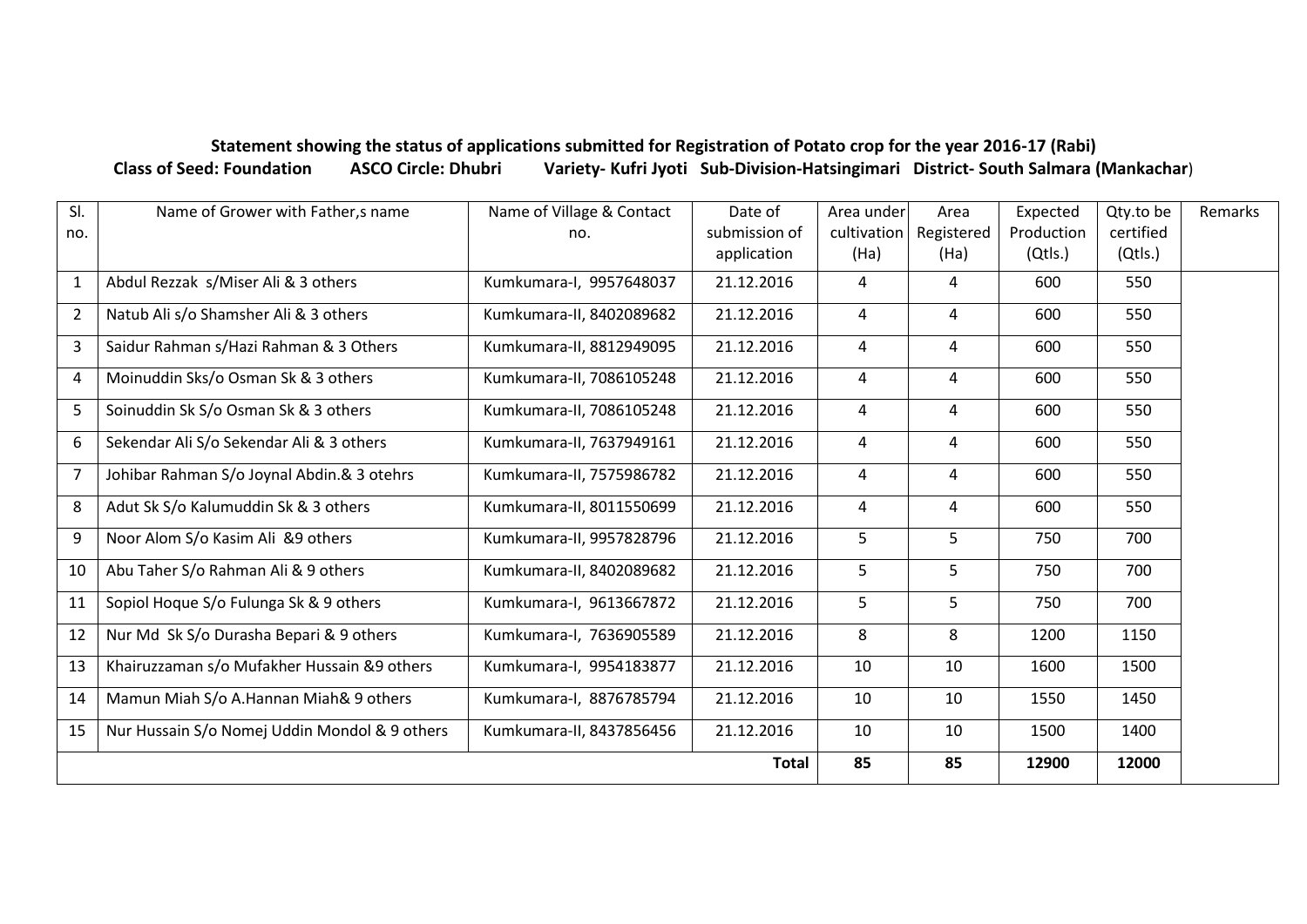## **Statement showing the status of applications submitted for Registration of Potato crop for the year 2016-17 (Rabi) Class of Seed: Foundation ASCO Circle: Dhubri Variety- Kufri Jyoti Sub-Division-Hatsingimari District- South Salmara (Mankachar**)

| SI.            | Name of Grower with Father, s name            | Name of Village & Contact | Date of       | Area under     | Area       | Expected   | Qty.to be | Remarks |
|----------------|-----------------------------------------------|---------------------------|---------------|----------------|------------|------------|-----------|---------|
| no.            |                                               | no.                       | submission of | cultivation    | Registered | Production | certified |         |
|                |                                               |                           | application   | (Ha)           | (Ha)       | (Qtls.)    | (Qtls.)   |         |
| $\mathbf{1}$   | Abdul Rezzak s/Miser Ali & 3 others           | Kumkumara-I, 9957648037   | 21.12.2016    | $\overline{4}$ | 4          | 600        | 550       |         |
| $\overline{2}$ | Natub Ali s/o Shamsher Ali & 3 others         | Kumkumara-II, 8402089682  | 21.12.2016    | 4              | 4          | 600        | 550       |         |
| 3              | Saidur Rahman s/Hazi Rahman & 3 Others        | Kumkumara-II, 8812949095  | 21.12.2016    | 4              | 4          | 600        | 550       |         |
| 4              | Moinuddin Sks/o Osman Sk & 3 others           | Kumkumara-II, 7086105248  | 21.12.2016    | $\overline{a}$ | 4          | 600        | 550       |         |
| 5              | Soinuddin Sk S/o Osman Sk & 3 others          | Kumkumara-II, 7086105248  | 21.12.2016    | $\overline{a}$ | 4          | 600        | 550       |         |
| 6              | Sekendar Ali S/o Sekendar Ali & 3 others      | Kumkumara-II, 7637949161  | 21.12.2016    | 4              | 4          | 600        | 550       |         |
| $\overline{7}$ | Johibar Rahman S/o Joynal Abdin.& 3 otehrs    | Kumkumara-II, 7575986782  | 21.12.2016    | 4              | 4          | 600        | 550       |         |
| 8              | Adut Sk S/o Kalumuddin Sk & 3 others          | Kumkumara-II, 8011550699  | 21.12.2016    | 4              | 4          | 600        | 550       |         |
| 9              | Noor Alom S/o Kasim Ali &9 others             | Kumkumara-II, 9957828796  | 21.12.2016    | 5              | 5          | 750        | 700       |         |
| 10             | Abu Taher S/o Rahman Ali & 9 others           | Kumkumara-II, 8402089682  | 21.12.2016    | 5              | 5          | 750        | 700       |         |
| 11             | Sopiol Hoque S/o Fulunga Sk & 9 others        | Kumkumara-I, 9613667872   | 21.12.2016    | 5              | 5          | 750        | 700       |         |
| 12             | Nur Md Sk S/o Durasha Bepari & 9 others       | Kumkumara-I, 7636905589   | 21.12.2016    | 8              | 8          | 1200       | 1150      |         |
| 13             | Khairuzzaman s/o Mufakher Hussain &9 others   | Kumkumara-I, 9954183877   | 21.12.2016    | 10             | 10         | 1600       | 1500      |         |
| 14             | Mamun Miah S/o A.Hannan Miah& 9 others        | Kumkumara-I, 8876785794   | 21.12.2016    | 10             | 10         | 1550       | 1450      |         |
| 15             | Nur Hussain S/o Nomej Uddin Mondol & 9 others | Kumkumara-II, 8437856456  | 21.12.2016    | 10             | 10         | 1500       | 1400      |         |
|                | <b>Total</b>                                  |                           |               |                | 85         | 12900      | 12000     |         |